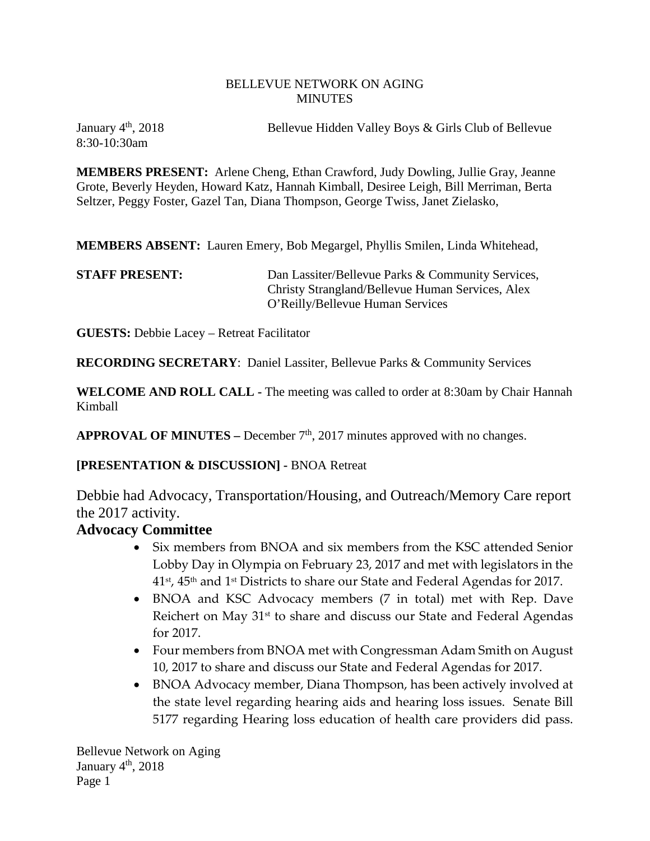#### BELLEVUE NETWORK ON AGING MINUTES

8:30-10:30am

January 4<sup>th</sup>, 2018 Bellevue Hidden Valley Boys & Girls Club of Bellevue

**MEMBERS PRESENT:** Arlene Cheng, Ethan Crawford, Judy Dowling, Jullie Gray, Jeanne Grote, Beverly Heyden, Howard Katz, Hannah Kimball, Desiree Leigh, Bill Merriman, Berta Seltzer, Peggy Foster, Gazel Tan, Diana Thompson, George Twiss, Janet Zielasko,

**MEMBERS ABSENT:** Lauren Emery, Bob Megargel, Phyllis Smilen, Linda Whitehead,

**STAFF PRESENT:** Dan Lassiter/Bellevue Parks & Community Services, Christy Strangland/Bellevue Human Services, Alex O'Reilly/Bellevue Human Services

**GUESTS:** Debbie Lacey – Retreat Facilitator

**RECORDING SECRETARY**: Daniel Lassiter, Bellevue Parks & Community Services

**WELCOME AND ROLL CALL -** The meeting was called to order at 8:30am by Chair Hannah Kimball

**APPROVAL OF MINUTES –** December  $7<sup>th</sup>$ , 2017 minutes approved with no changes.

**[PRESENTATION & DISCUSSION] -** BNOA Retreat

Debbie had Advocacy, Transportation/Housing, and Outreach/Memory Care report the 2017 activity.

#### **Advocacy Committee**

- Six members from BNOA and six members from the KSC attended Senior Lobby Day in Olympia on February 23, 2017 and met with legislators in the  $41$ <sup>st</sup>,  $45$ <sup>th</sup> and  $1$ <sup>st</sup> Districts to share our State and Federal Agendas for 2017.
- BNOA and KSC Advocacy members (7 in total) met with Rep. Dave Reichert on May 31<sup>st</sup> to share and discuss our State and Federal Agendas for 2017.
- Four members from BNOA met with Congressman Adam Smith on August 10, 2017 to share and discuss our State and Federal Agendas for 2017.
- BNOA Advocacy member, Diana Thompson, has been actively involved at the state level regarding hearing aids and hearing loss issues. Senate Bill 5177 regarding Hearing loss education of health care providers did pass.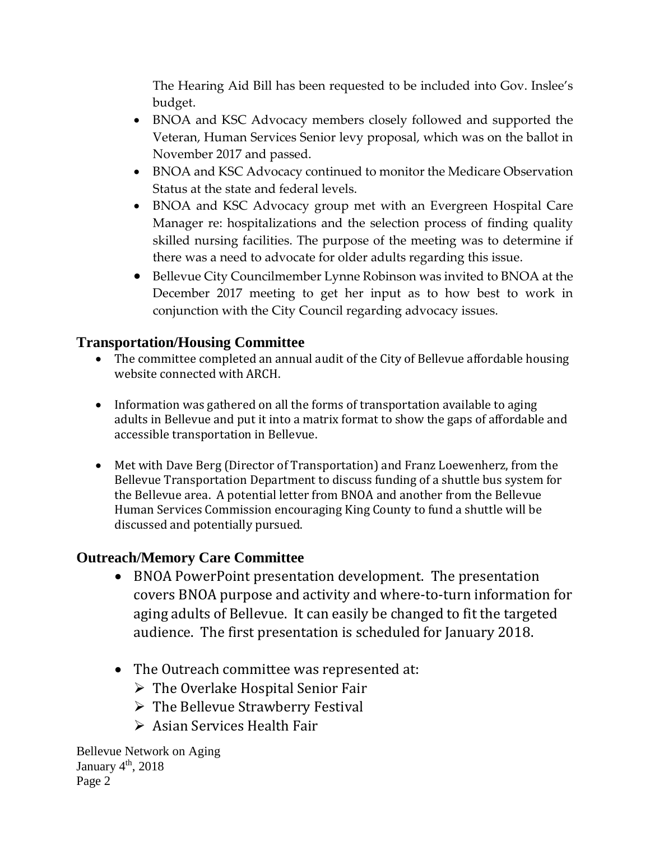The Hearing Aid Bill has been requested to be included into Gov. Inslee's budget.

- BNOA and KSC Advocacy members closely followed and supported the Veteran, Human Services Senior levy proposal, which was on the ballot in November 2017 and passed.
- BNOA and KSC Advocacy continued to monitor the Medicare Observation Status at the state and federal levels.
- BNOA and KSC Advocacy group met with an Evergreen Hospital Care Manager re: hospitalizations and the selection process of finding quality skilled nursing facilities. The purpose of the meeting was to determine if there was a need to advocate for older adults regarding this issue.
- Bellevue City Councilmember Lynne Robinson was invited to BNOA at the December 2017 meeting to get her input as to how best to work in conjunction with the City Council regarding advocacy issues.

# **Transportation/Housing Committee**

- The committee completed an annual audit of the City of Bellevue affordable housing website connected with ARCH.
- Information was gathered on all the forms of transportation available to aging adults in Bellevue and put it into a matrix format to show the gaps of affordable and accessible transportation in Bellevue.
- Met with Dave Berg (Director of Transportation) and Franz Loewenherz, from the Bellevue Transportation Department to discuss funding of a shuttle bus system for the Bellevue area. A potential letter from BNOA and another from the Bellevue Human Services Commission encouraging King County to fund a shuttle will be discussed and potentially pursued.

## **Outreach/Memory Care Committee**

- BNOA PowerPoint presentation development. The presentation covers BNOA purpose and activity and where-to-turn information for aging adults of Bellevue. It can easily be changed to fit the targeted audience. The first presentation is scheduled for January 2018.
- The Outreach committee was represented at:
	- $\triangleright$  The Overlake Hospital Senior Fair
	- $\triangleright$  The Bellevue Strawberry Festival
	- ▶ Asian Services Health Fair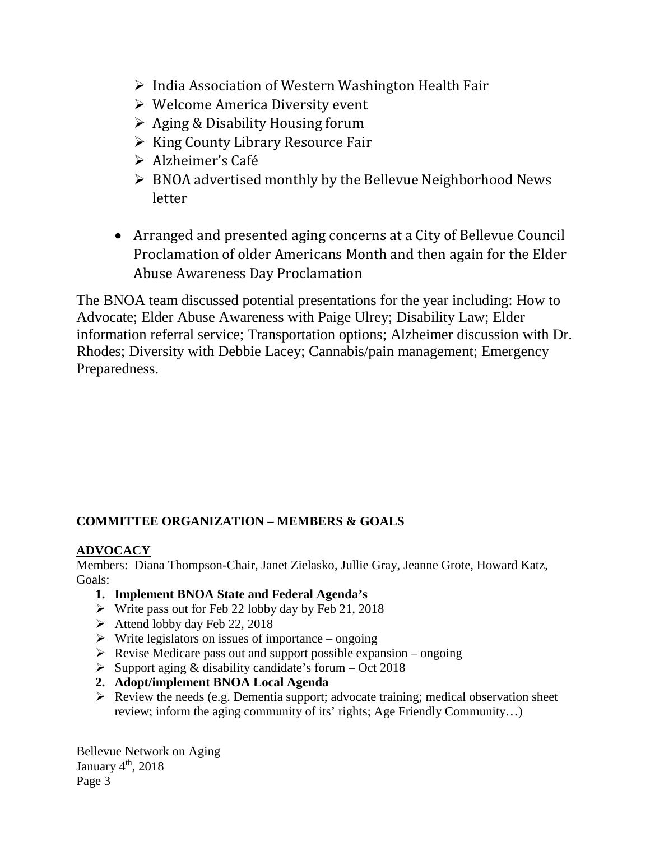- $\triangleright$  India Association of Western Washington Health Fair
- $\triangleright$  Welcome America Diversity event
- $\triangleright$  Aging & Disability Housing forum
- $\triangleright$  King County Library Resource Fair
- Alzheimer's Café
- $\triangleright$  BNOA advertised monthly by the Bellevue Neighborhood News letter
- Arranged and presented aging concerns at a City of Bellevue Council Proclamation of older Americans Month and then again for the Elder Abuse Awareness Day Proclamation

The BNOA team discussed potential presentations for the year including: How to Advocate; Elder Abuse Awareness with Paige Ulrey; Disability Law; Elder information referral service; Transportation options; Alzheimer discussion with Dr. Rhodes; Diversity with Debbie Lacey; Cannabis/pain management; Emergency Preparedness.

## **COMMITTEE ORGANIZATION – MEMBERS & GOALS**

## **ADVOCACY**

Members: Diana Thompson-Chair, Janet Zielasko, Jullie Gray, Jeanne Grote, Howard Katz, Goals:

- **1. Implement BNOA State and Federal Agenda's**
- $\triangleright$  Write pass out for Feb 22 lobby day by Feb 21, 2018
- $\blacktriangleright$  Attend lobby day Feb 22, 2018
- $\triangleright$  Write legislators on issues of importance ongoing
- $\triangleright$  Revise Medicare pass out and support possible expansion ongoing
- $\triangleright$  Support aging & disability candidate's forum Oct 2018
- **2. Adopt/implement BNOA Local Agenda**
- $\triangleright$  Review the needs (e.g. Dementia support; advocate training; medical observation sheet review; inform the aging community of its' rights; Age Friendly Community…)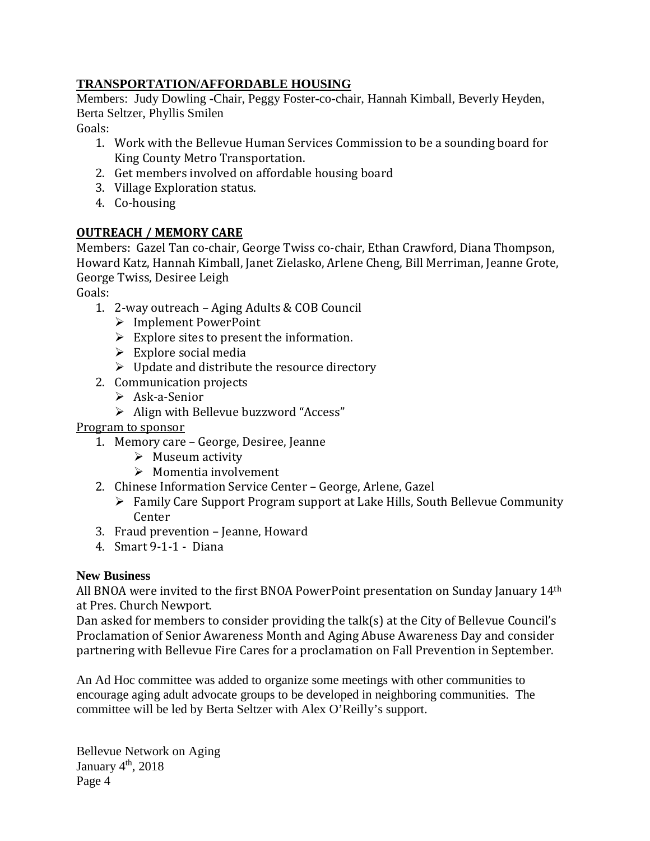#### **TRANSPORTATION/AFFORDABLE HOUSING**

Members: Judy Dowling -Chair, Peggy Foster-co-chair, Hannah Kimball, Beverly Heyden, Berta Seltzer, Phyllis Smilen

Goals:

- 1. Work with the Bellevue Human Services Commission to be a sounding board for King County Metro Transportation.
- 2. Get members involved on affordable housing board
- 3. Village Exploration status.
- 4. Co-housing

#### **OUTREACH / MEMORY CARE**

Members: Gazel Tan co-chair, George Twiss co-chair, Ethan Crawford, Diana Thompson, Howard Katz, Hannah Kimball, Janet Zielasko, Arlene Cheng, Bill Merriman, Jeanne Grote, George Twiss, Desiree Leigh

Goals:

- 1. 2-way outreach Aging Adults & COB Council
	- Implement PowerPoint
	- $\triangleright$  Explore sites to present the information.
	- $\triangleright$  Explore social media
	- $\triangleright$  Update and distribute the resource directory
- 2. Communication projects
	- Ask-a-Senior
	- $\triangleright$  Align with Bellevue buzzword "Access"

Program to sponsor

- 1. Memory care George, Desiree, Jeanne
	- $\triangleright$  Museum activity
	- $\triangleright$  Momentia involvement
- 2. Chinese Information Service Center George, Arlene, Gazel
	- Family Care Support Program support at Lake Hills, South Bellevue Community Center
- 3. Fraud prevention Jeanne, Howard
- 4. Smart 9-1-1 Diana

## **New Business**

All BNOA were invited to the first BNOA PowerPoint presentation on Sunday January  $14<sup>th</sup>$ at Pres. Church Newport.

Dan asked for members to consider providing the talk(s) at the City of Bellevue Council's Proclamation of Senior Awareness Month and Aging Abuse Awareness Day and consider partnering with Bellevue Fire Cares for a proclamation on Fall Prevention in September.

An Ad Hoc committee was added to organize some meetings with other communities to encourage aging adult advocate groups to be developed in neighboring communities. The committee will be led by Berta Seltzer with Alex O'Reilly's support.